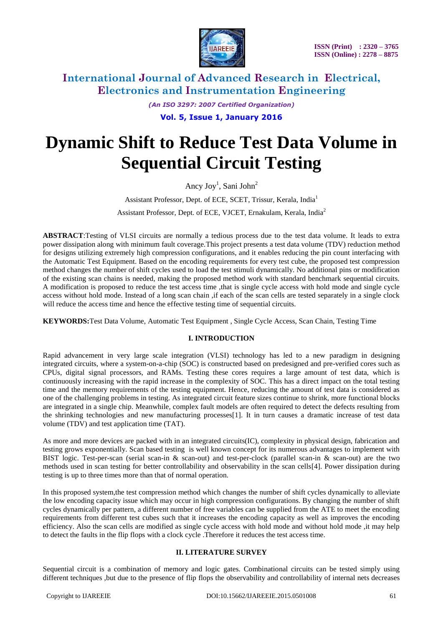

*(An ISO 3297: 2007 Certified Organization)* **Vol. 5, Issue 1, January 2016**

# **Dynamic Shift to Reduce Test Data Volume in Sequential Circuit Testing**

Ancy Joy<sup>1</sup>, Sani John<sup>2</sup>

Assistant Professor, Dept. of ECE, SCET, Trissur, Kerala, India<sup>1</sup> Assistant Professor, Dept. of ECE, VJCET, Ernakulam, Kerala, India<sup>2</sup>

**ABSTRACT**:Testing of VLSI circuits are normally a tedious process due to the test data volume. It leads to extra power dissipation along with minimum fault coverage.This project presents a test data volume (TDV) reduction method for designs utilizing extremely high compression configurations, and it enables reducing the pin count interfacing with the Automatic Test Equipment. Based on the encoding requirements for every test cube, the proposed test compression method changes the number of shift cycles used to load the test stimuli dynamically. No additional pins or modification of the existing scan chains is needed, making the proposed method work with standard benchmark sequential circuits. A modification is proposed to reduce the test access time ,that is single cycle access with hold mode and single cycle access without hold mode. Instead of a long scan chain ,if each of the scan cells are tested separately in a single clock will reduce the access time and hence the effective testing time of sequential circuits.

**KEYWORDS:**Test Data Volume, Automatic Test Equipment , Single Cycle Access, Scan Chain, Testing Time

### **I. INTRODUCTION**

Rapid advancement in very large scale integration (VLSI) technology has led to a new paradigm in designing integrated circuits, where a system-on-a-chip (SOC) is constructed based on predesigned and pre-verified cores such as CPUs, digital signal processors, and RAMs. Testing these cores requires a large amount of test data, which is continuously increasing with the rapid increase in the complexity of SOC. This has a direct impact on the total testing time and the memory requirements of the testing equipment. Hence, reducing the amount of test data is considered as one of the challenging problems in testing. As integrated circuit feature sizes continue to shrink, more functional blocks are integrated in a single chip. Meanwhile, complex fault models are often required to detect the defects resulting from the shrinking technologies and new manufacturing processes[1]. It in turn causes a dramatic increase of test data volume (TDV) and test application time (TAT).

As more and more devices are packed with in an integrated circuits(IC), complexity in physical design, fabrication and testing grows exponentially. Scan based testing is well known concept for its numerous advantages to implement with BIST logic. Test-per-scan (serial scan-in & scan-out) and test-per-clock (parallel scan-in & scan-out) are the two methods used in scan testing for better controllability and observability in the scan cells[4]. Power dissipation during testing is up to three times more than that of normal operation.

In this proposed system,the test compression method which changes the number of shift cycles dynamically to alleviate the low encoding capacity issue which may occur in high compression configurations. By changing the number of shift cycles dynamically per pattern, a different number of free variables can be supplied from the ATE to meet the encoding requirements from different test cubes such that it increases the encoding capacity as well as improves the encoding efficiency. Also the scan cells are modified as single cycle access with hold mode and without hold mode ,it may help to detect the faults in the flip flops with a clock cycle .Therefore it reduces the test access time.

#### **II. LITERATURE SURVEY**

Sequential circuit is a combination of memory and logic gates. Combinational circuits can be tested simply using different techniques ,but due to the presence of flip flops the observability and controllability of internal nets decreases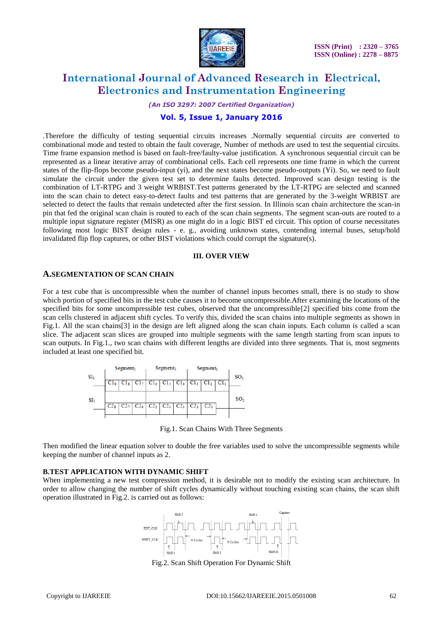

*(An ISO 3297: 2007 Certified Organization)*

### **Vol. 5, Issue 1, January 2016**

.Therefore the difficulty of testing sequential circuits increases .Normally sequential circuits are converted to combinational mode and tested to obtain the fault coverage, Number of methods are used to test the sequential circuits. Time frame expansion method is based on fault-free/faulty-value justification. A synchronous sequential circuit can be represented as a linear iterative array of combinational cells. Each cell represents one time frame in which the current states of the flip-flops become pseudo-input (yi), and the next states become pseudo-outputs (Yi). So, we need to fault simulate the circuit under the given test set to determine faults detected. Improved scan design testing is the combination of LT-RTPG and 3 weight WRBIST.Test patterns generated by the LT-RTPG are selected and scanned into the scan chain to detect easy-to-detect faults and test patterns that are generated by the 3-weight WRBIST are selected to detect the faults that remain undetected after the first session. In Illinois scan chain architecture the scan-in pin that fed the original scan chain is routed to each of the scan chain segments. The segment scan-outs are routed to a multiple input signature register (MISR) as one might do in a logic BIST ed circuit. This option of course necessitates following most logic BIST design rules - e. g., avoiding unknown states, contending internal buses, setup/hold invalidated flip flop captures, or other BIST violations which could corrupt the signature(s).

#### **III. OVER VIEW**

#### **A.SEGMENTATION OF SCAN CHAIN**

For a test cube that is uncompressible when the number of channel inputs becomes small, there is no study to show which portion of specified bits in the test cube causes it to become uncompressible.After examining the locations of the specified bits for some uncompressible test cubes, observed that the uncompressible[2] specified bits come from the scan cells clustered in adjacent shift cycles. To verify this, divided the scan chains into multiple segments as shown in Fig.1. All the scan chains[3] in the design are left aligned along the scan chain inputs. Each column is called a scan slice. The adjacent scan slices are grouped into multiple segments with the same length starting from scan inputs to scan outputs. In Fig.1., two scan chains with different lengths are divided into three segments. That is, most segments included at least one specified bit.



Fig.1. Scan Chains With Three Segments

Then modified the linear equation solver to double the free variables used to solve the uncompressible segments while keeping the number of channel inputs as 2.

#### **B.TEST APPLICATION WITH DYNAMIC SHIFT**

When implementing a new test compression method, it is desirable not to modify the existing scan architecture. In order to allow changing the number of shift cycles dynamically without touching existing scan chains, the scan shift operation illustrated in Fig.2. is carried out as follows:



Fig.2. Scan Shift Operation For Dynamic Shift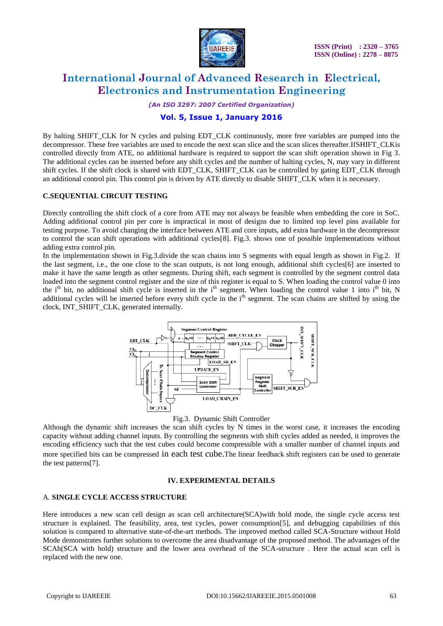

*(An ISO 3297: 2007 Certified Organization)*

### **Vol. 5, Issue 1, January 2016**

By halting SHIFT\_CLK for N cycles and pulsing EDT\_CLK continuously, more free variables are pumped into the decompressor. These free variables are used to encode the next scan slice and the scan slices thereafter.IfSHIFT\_CLKis controlled directly from ATE, no additional hardware is required to support the scan shift operation shown in Fig 3. The additional cycles can be inserted before any shift cycles and the number of halting cycles, N, may vary in different shift cycles. If the shift clock is shared with EDT\_CLK, SHIFT\_CLK can be controlled by gating EDT\_CLK through an additional control pin. This control pin is driven by ATE directly to disable SHIFT\_CLK when it is necessary.

#### **C.SEQUENTIAL CIRCUIT TESTING**

Directly controlling the shift clock of a core from ATE may not always be feasible when embedding the core in SoC. Adding additional control pin per core is impractical in most of designs due to limited top level pins available for testing purpose. To avoid changing the interface between ATE and core inputs, add extra hardware in the decompressor to control the scan shift operations with additional cycles[8]. Fig.3. shows one of possible implementations without adding extra control pin.

In the implementation shown in Fig.3.divide the scan chains into S segments with equal length as shown in Fig.2. If the last segment, i.e., the one close to the scan outputs, is not long enough, additional shift cycles[6] are inserted to make it have the same length as other segments. During shift, each segment is controlled by the segment control data loaded into the segment control register and the size of this register is equal to S. When loading the control value 0 into the i<sup>th</sup> bit, no additional shift cycle is inserted in the i<sup>th</sup> segment. When loading the control value 1 into i<sup>th</sup> bit, N additional cycles will be inserted before every shift cycle in the  $i<sup>th</sup>$  segment. The scan chains are shifted by using the clock, INT\_SHIFT\_CLK, generated internally.



Fig.3. Dynamic Shift Controller

Although the dynamic shift increases the scan shift cycles by N times in the worst case, it increases the encoding capacity without adding channel inputs. By controlling the segments with shift cycles added as needed, it improves the encoding efficiency such that the test cubes could become compressible with a smaller number of channel inputs and more specified bits can be compressed in each test cube.The linear feedback shift registers can be used to generate the test patterns[7].

#### **IV. EXPERIMENTAL DETAILS**

#### A. **SINGLE CYCLE ACCESS STRUCTURE**

Here introduces a new scan cell design as scan cell architecture(SCA)with hold mode, the single cycle access test structure is explained. The feasibility, area, test cycles, power consumption[5], and debugging capabilities of this solution is compared to alternative state-of-the-art methods. The improved method called SCA-Structure without Hold Mode demonstrates further solutions to overcome the area disadvantage of the proposed method. The advantages of the SCAh(SCA with hold) structure and the lower area overhead of the SCA-structure . Here the actual scan cell is replaced with the new one.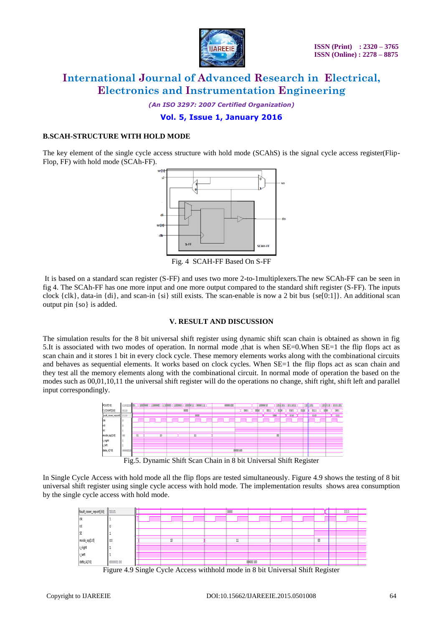

*(An ISO 3297: 2007 Certified Organization)*

### **Vol. 5, Issue 1, January 2016**

#### **B.SCAH-STRUCTURE WITH HOLD MODE**

The key element of the single cycle access structure with hold mode (SCAhS) is the signal cycle access register(Flip-Flop, FF) with hold mode (SCAh-FF).



Fig. 4 SCAH-FF Based On S-FF

It is based on a standard scan register (S-FF) and uses two more 2-to-1multiplexers.The new SCAh-FF can be seen in fig 4. The SCAh-FF has one more input and one more output compared to the standard shift register (S-FF). The inputs clock  $\{clk\}$ , data-in  $\{di\}$ , and scan-in  $\{si\}$  still exists. The scan-enable is now a 2 bit bus  $\{se[0:1]\}$ . An additional scan output pin {so} is added.

#### **V. RESULT AND DISCUSSION**

The simulation results for the 8 bit universal shift register using dynamic shift scan chain is obtained as shown in fig 5.It is associated with two modes of operation. In normal mode ,that is when SE=0.When SE=1 the flip flops act as scan chain and it stores 1 bit in every clock cycle. These memory elements works along with the combinational circuits and behaves as sequential elements. It works based on clock cycles. When SE=1 the flip flops act as scan chain and they test all the memory elements along with the combinational circuit. In normal mode of operation the based on the modes such as 00,01,10,11 the universal shift register will do the operations no change, shift right, shift left and parallel input correspondingly.



In Single Cycle Access with hold mode all the flip flops are tested simultaneously. Figure 4.9 shows the testing of 8 bit universal shift register using single cycle access with hold mode. The implementation results shows area consumption by the single cycle access with hold mode.



Figure 4.9 Single Cycle Access withhold mode in 8 bit Universal Shift Register